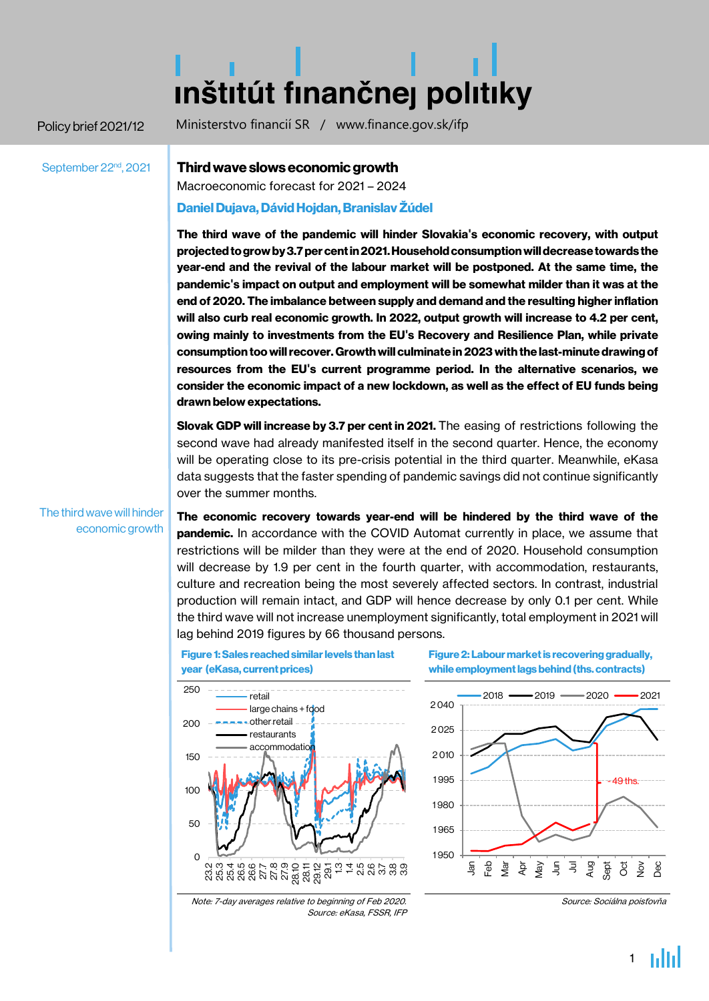# **Inštitút finančnej politiky**

Policy brief 2021/12 Ministerstvo financií SR / www.finance.gov.sk/ifp

September 22<sup>nd</sup>, 2021

# Third wave slows economic growth

Macroeconomic forecast for 2021 – 2024

## Daniel Dujava, Dávid Hojdan, Branislav Žúdel

The third wave of the pandemic will hinder Slovakia**'**s economic recovery, with output projectedtogrowby3.7percentin2021.Householdconsumptionwilldecreasetowards the year-end and the revival of the labour market will be postponed. At the same time, the pandemic**'**s impact on output and employment will be somewhat milder than it was at the end of 2020. The imbalance between supply and demand and the resulting higher inflation will also curb real economic growth. In 2022, output growth will increase to 4.2 per cent, owing mainly to investments from the EU**'**s Recovery and Resilience Plan, while private consumption too will recover. Growth will culminate in 2023 with the last-minute drawing of resources from the EU**'**s current programme period. In the alternative scenarios, we consider the economic impact of a new lockdown, as well as the effect of EU funds being drawn below expectations.

Slovak GDP will increase by 3.7 per cent in 2021. The easing of restrictions following the second wave had already manifested itself in the second quarter. Hence, the economy will be operating close to its pre-crisis potential in the third quarter. Meanwhile, eKasa data suggests that the faster spending of pandemic savings did not continue significantly over the summer months.

economic growth citeľné naprieč krajinami The third wave will hinder

The economic recovery towards year-end will be hindered by the third wave of the **pandemic.** In accordance with the COVID Automat currently in place, we assume that restrictions will be milder than they were at the end of 2020. Household consumption will decrease by 1.9 per cent in the fourth quarter, with accommodation, restaurants, culture and recreation being the most severely affected sectors. In contrast, industrial production will remain intact, and GDP will hence decrease by only 0.1 per cent. While the third wave will not increase unemployment significantly, total employment in 2021 will lag behind 2019 figures by 66 thousand persons.



Figure 1: Sales reached similar levels than last

Figure 2: Labour market is recovering gradually, while employment lags behind (ths. contracts)



Note: 7-day averages relative to beginning of Feb 2020. Source: eKasa, FSSR, IFP

Source: Sociálna poisťovňa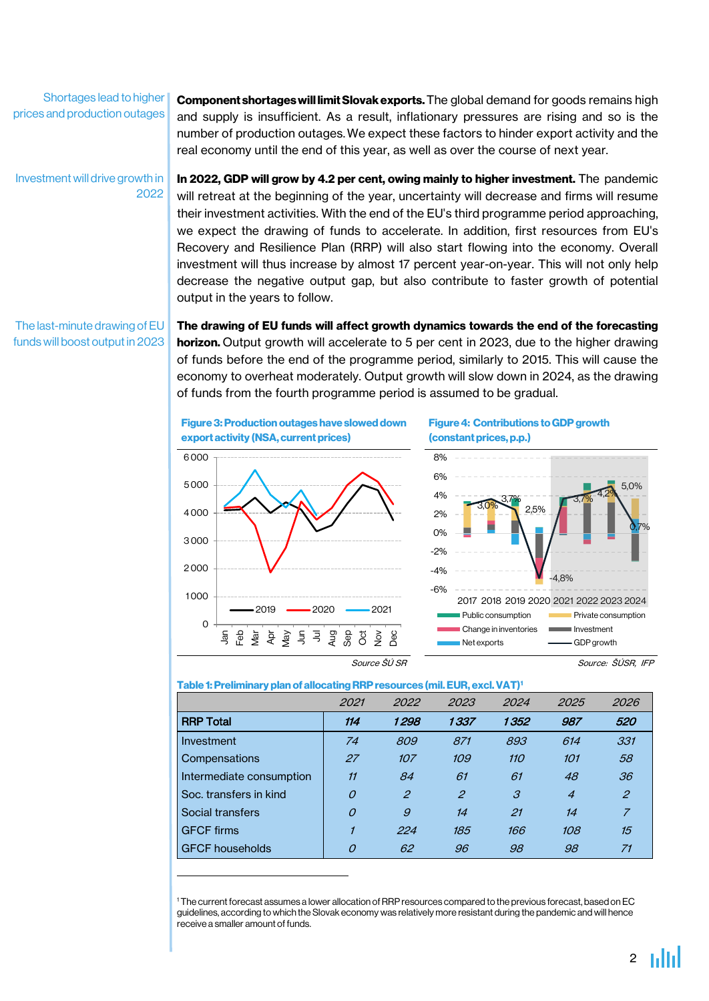Shortages lead to higher prices and production outages

**Component shortages will limit Slovak exports.** The global demand for goods remains high and supply is insufficient. As a result, inflationary pressures are rising and so is the number of production outages.We expect these factors to hinder export activity and the real economy until the end of this year, as well as over the course of next year.

Investment will drive growth in 2022 In 2022, GDP will grow by 4.2 per cent, owing mainly to higher investment. The pandemic will retreat at the beginning of the year, uncertainty will decrease and firms will resume their investment activities. With the end of the EU's third programme period approaching, we expect the drawing of funds to accelerate. In addition, first resources from EU's Recovery and Resilience Plan (RRP) will also start flowing into the economy. Overall investment will thus increase by almost 17 percent year-on-year. This will not only help decrease the negative output gap, but also contribute to faster growth of potential output in the years to follow.

The last-minute drawing of EU funds will boost output in 2023 The drawing of EU funds will affect growth dynamics towards the end of the forecasting horizon. Output growth will accelerate to 5 per cent in 2023, due to the higher drawing of funds before the end of the programme period, similarly to 2015. This will cause the economy to overheat moderately. Output growth will slow down in 2024, as the drawing of funds from the fourth programme period is assumed to be gradual.



1

Figure 4: Contributions to GDP growth (constant prices, p.p.)





Source ŠÚ SR Source: ŠÚSR, IFP

#### Table 1: Preliminary plan of allocating RRP resources (mil. EUR, excl. VAT)'

|                          | 2021     | 2022           | 2023                        | 2024       | 2025           | 2026           |  |
|--------------------------|----------|----------------|-----------------------------|------------|----------------|----------------|--|
| <b>RRP Total</b>         | 114      | 1298           | 1337                        | 1352       | 987            | 520            |  |
| Investment               | 74       | 809            | 871                         | 893        | 614            | 331            |  |
| Compensations            | 27       | 107            | 109                         | 110<br>101 |                | 58             |  |
| Intermediate consumption | 11       | 84             | 61                          | 61         | 48             | 36             |  |
| Soc. transfers in kind   | 0        | $\overline{2}$ | $\mathcal{Z}_{\mathcal{C}}$ | 3          | $\overline{4}$ | $\overline{c}$ |  |
| Social transfers         | $\Omega$ | 9              | 14                          | 21         | 14             | $\overline{z}$ |  |
| <b>GFCF</b> firms        |          | 224            | 185                         | 166        | 108            | 15             |  |
| <b>GFCF households</b>   | 0        | 62             | 96                          | 98         | 98             | 71             |  |

<sup>1</sup> The current forecast assumes a lower allocation ofRRP resources compared to the previous forecast, basedon EC guidelines, according to which theSlovak economy was relativelymore resistant during the pandemic and will hence receive a smaller amount of funds.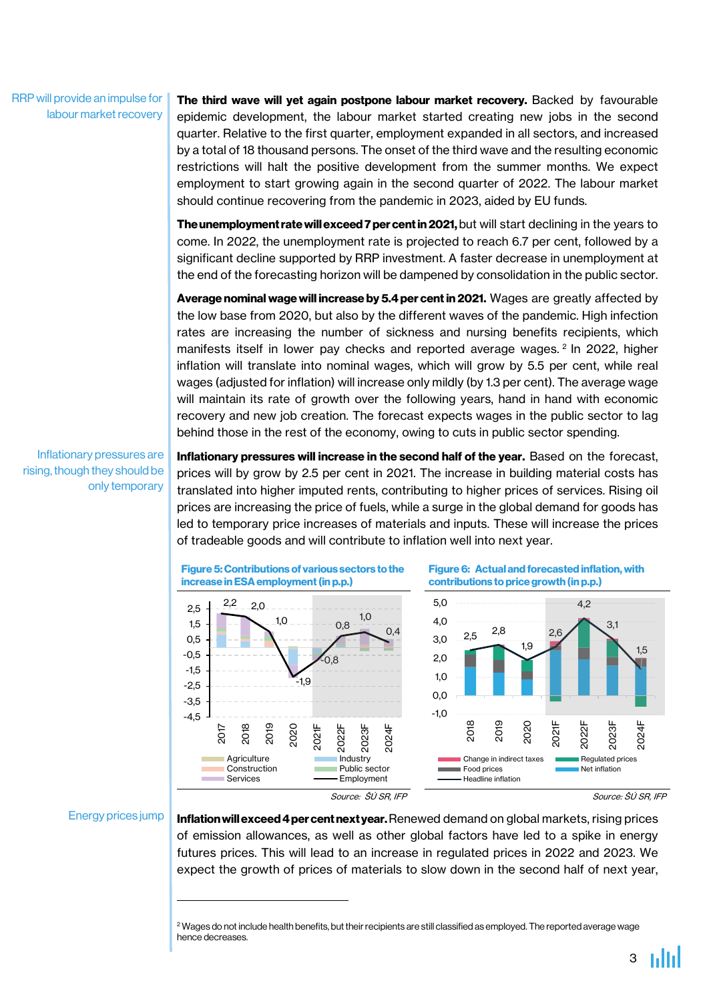RRP will provide an impulse for labour market recovery

The third wave will yet again postpone labour market recovery. Backed by favourable epidemic development, the labour market started creating new jobs in the second quarter. Relative to the first quarter, employment expanded in all sectors, and increased by a total of 18 thousand persons. The onset of the third wave and the resulting economic restrictions will halt the positive development from the summer months. We expect employment to start growing again in the second quarter of 2022. The labour market should continue recovering from the pandemic in 2023, aided by EU funds.

The unemployment rate will exceed 7 per cent in 2021, but will start declining in the years to come. In 2022, the unemployment rate is projected to reach 6.7 per cent, followed by a significant decline supported by RRP investment. A faster decrease in unemployment at the end of the forecasting horizon will be dampened by consolidation in the public sector.

Average nominal wage will increase by 5.4 per cent in 2021. Wages are greatly affected by the low base from 2020, but also by the different waves of the pandemic. High infection rates are increasing the number of sickness and nursing benefits recipients, which manifests itself in lower pay checks and reported average wages. <sup>2</sup> In 2022, higher inflation will translate into nominal wages, which will grow by 5.5 per cent, while real wages (adjusted for inflation) will increase only mildly (by 1.3 per cent). The average wage will maintain its rate of growth over the following years, hand in hand with economic recovery and new job creation. The forecast expects wages in the public sector to lag behind those in the rest of the economy, owing to cuts in public sector spending.

Inflationary pressures are rising, though they should be only temporary

Inflationary pressures will increase in the second half of the year. Based on the forecast, prices will by grow by 2.5 per cent in 2021. The increase in building material costs has translated into higher imputed rents, contributing to higher prices of services. Rising oil prices are increasing the price of fuels, while a surge in the global demand for goods has led to temporary price increases of materials and inputs. These will increase the prices of tradeable goods and will contribute to inflation well into next year.



### Energy prices jump

1

Inflation will exceed 4 per cent next year. Renewed demand on global markets, rising prices of emission allowances, as well as other global factors have led to a spike in energy futures prices. This will lead to an increase in regulated prices in 2022 and 2023. We expect the growth of prices of materials to slow down in the second half of next year,

<sup>&</sup>lt;sup>2</sup> Wages do not include health benefits, but their recipients are still classified as employed. The reported average wage hence decreases.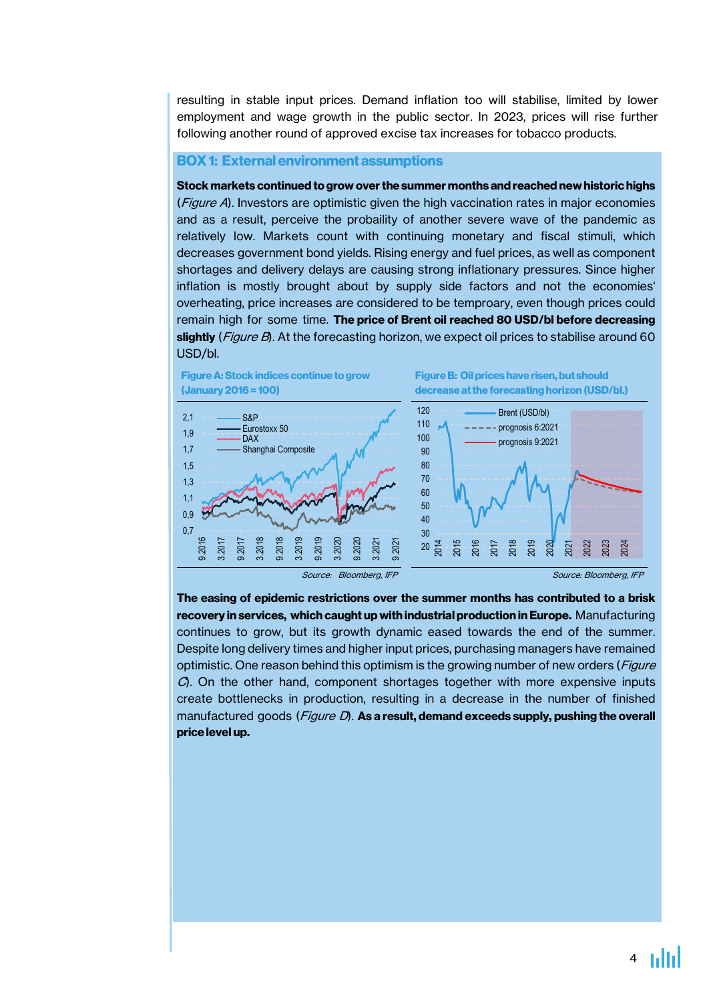resulting in stable input prices. Demand inflation too will stabilise, limited by lower employment and wage growth in the public sector. In 2023, prices will rise further following another round of approved excise tax increases for tobacco products.

#### BOX1: External environment assumptions

Stock markets continued to grow overthe summer months and reached new historic highs (*Figure A*). Investors are optimistic given the high vaccination rates in major economies and as a result, perceive the probaility of another severe wave of the pandemic as relatively low. Markets count with continuing monetary and fiscal stimuli, which decreases government bond yields. Rising energy and fuel prices, as well as component shortages and delivery delays are causing strong inflationary pressures. Since higher inflation is mostly brought about by supply side factors and not the economies' overheating, price increases are considered to be temproary, even though prices could remain high for some time. The price of Brent oil reached 80 USD/bl before decreasing slightly (*Figure B*). At the forecasting horizon, we expect oil prices to stabilise around 60 USD/bl.



The easing of epidemic restrictions over the summer months has contributed to a brisk recovery in services, which caught up with industrial production in Europe. Manufacturing continues to grow, but its growth dynamic eased towards the end of the summer. Despite long delivery times and higher input prices, purchasing managers have remained optimistic. One reason behind this optimism is the growing number of new orders (Figure C). On the other hand, component shortages together with more expensive inputs create bottlenecks in production, resulting in a decrease in the number of finished manufactured goods (*Figure D*). **As a result, demand exceeds supply, pushing the overall** price level up.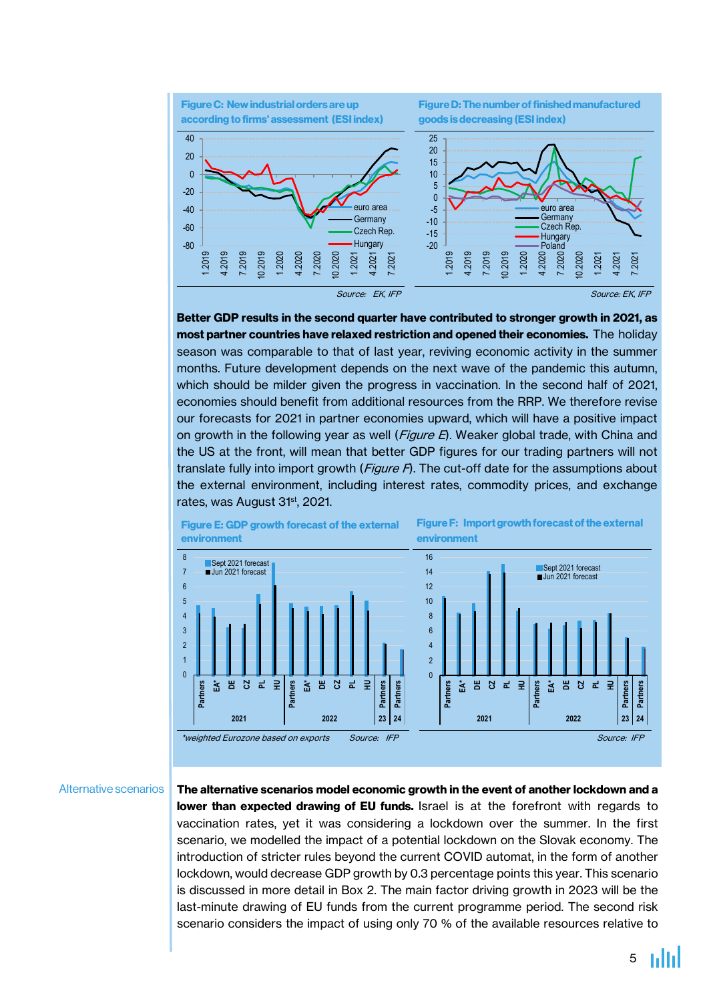

Better GDP results in the second quarter have contributed to stronger growth in 2021, as most partner countries have relaxed restriction and opened their economies. The holiday season was comparable to that of last year, reviving economic activity in the summer months. Future development depends on the next wave of the pandemic this autumn, which should be milder given the progress in vaccination. In the second half of 2021, economies should benefit from additional resources from the RRP. We therefore revise our forecasts for 2021 in partner economies upward, which will have a positive impact on growth in the following year as well (Figure E). Weaker global trade, with China and the US at the front, will mean that better GDP figures for our trading partners will not translate fully into import growth ( $Figure F$ ). The cut-off date for the assumptions about the external environment, including interest rates, commodity prices, and exchange rates, was August 31<sup>st</sup>, 2021.



#### Alternative scenarios

The alternative scenarios model economic growth in the event of another lockdown and a lower than expected drawing of EU funds. Israel is at the forefront with regards to vaccination rates, yet it was considering a lockdown over the summer. In the first scenario, we modelled the impact of a potential lockdown on the Slovak economy. The introduction of stricter rules beyond the current COVID automat, in the form of another lockdown, would decrease GDP growth by 0.3 percentage points this year. This scenario is discussed in more detail in Box 2. The main factor driving growth in 2023 will be the last-minute drawing of EU funds from the current programme period. The second risk scenario considers the impact of using only 70 % of the available resources relative to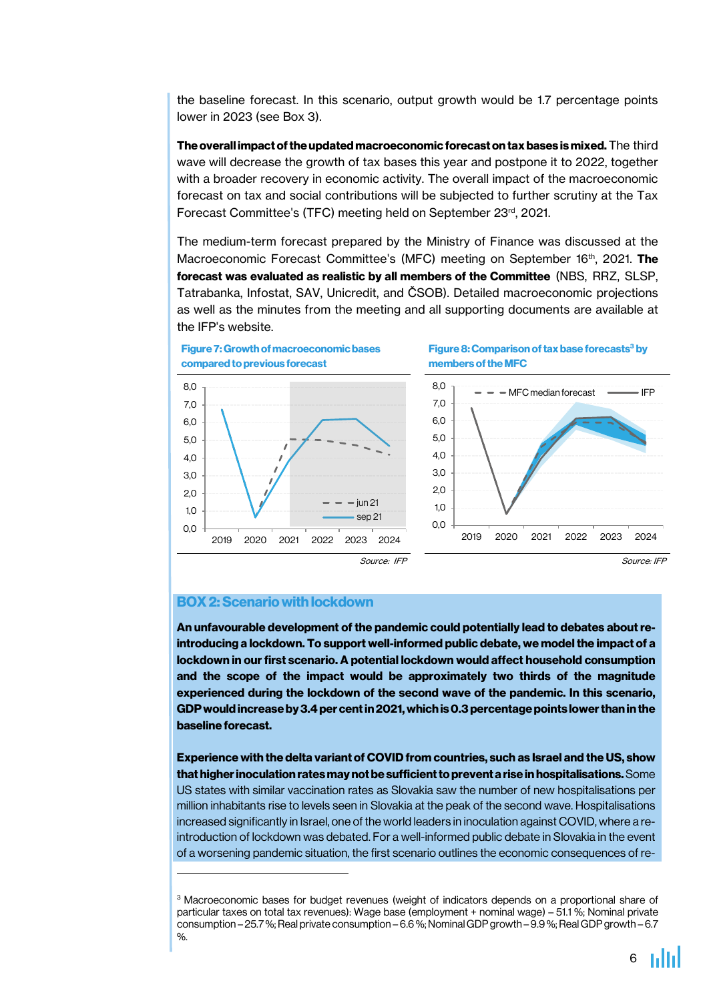the baseline forecast. In this scenario, output growth would be 1.7 percentage points lower in 2023 (see Box 3).

The overall impact of the updated macroeconomic forecast on tax bases is mixed. The third wave will decrease the growth of tax bases this year and postpone it to 2022, together with a broader recovery in economic activity. The overall impact of the macroeconomic forecast on tax and social contributions will be subjected to further scrutiny at the Tax Forecast Committee's (TFC) meeting held on September 23rd , 2021.

The medium-term forecast prepared by the Ministry of Finance was discussed at the Macroeconomic Forecast Committee's (MFC) meeting on September 16<sup>th</sup>, 2021. **The** forecast was evaluated as realistic by all members of the Committee (NBS, RRZ, SLSP, Tatrabanka, Infostat, SAV, Unicredit, and ČSOB). Detailed macroeconomic projections as well as the minutes from the meeting and all supporting documents are available at the IFP's website.



Figure 8: Comparison of tax base forecasts<sup>3</sup> by members of the MFC



## BOX2:Scenariowithlockdown

**.** 

An unfavourable development of the pandemic could potentially lead to debates aboutreintroducing a lockdown. To support well-informed public debate, we model the impact of a lockdown in our first scenario. A potential lockdown would affect household consumption and the scope of the impact would be approximately two thirds of the magnitude experienced during the lockdown of the second wave of the pandemic. In this scenario, GDPwouldincreaseby3.4percentin2021,whichis0.3percentagepoints lowerthaninthe baseline forecast.

Experience with the delta variant of COVID from countries, such as Israel and the US, show that higher inoculation rates may not be sufficient to prevent a rise in hospitalisations. Some US states with similar vaccination rates as Slovakia saw the number of new hospitalisations per million inhabitants rise to levels seen in Slovakia at the peak of the second wave. Hospitalisations increased significantly in Israel, one of the world leaders in inoculation against COVID, where a reintroduction of lockdown was debated. For a well-informed public debate in Slovakia in the event of a worsening pandemic situation, the first scenario outlines the economic consequences of re-

<sup>&</sup>lt;sup>3</sup> Macroeconomic bases for budget revenues (weight of indicators depends on a proportional share of particular taxes on total tax revenues): Wage base (employment + nominal wage) – 51.1 %; Nominal private consumption – 25.7%; Real private consumption – 6.6%; Nominal GDP growth – 9.9%; Real GDP growth – 6.7 %.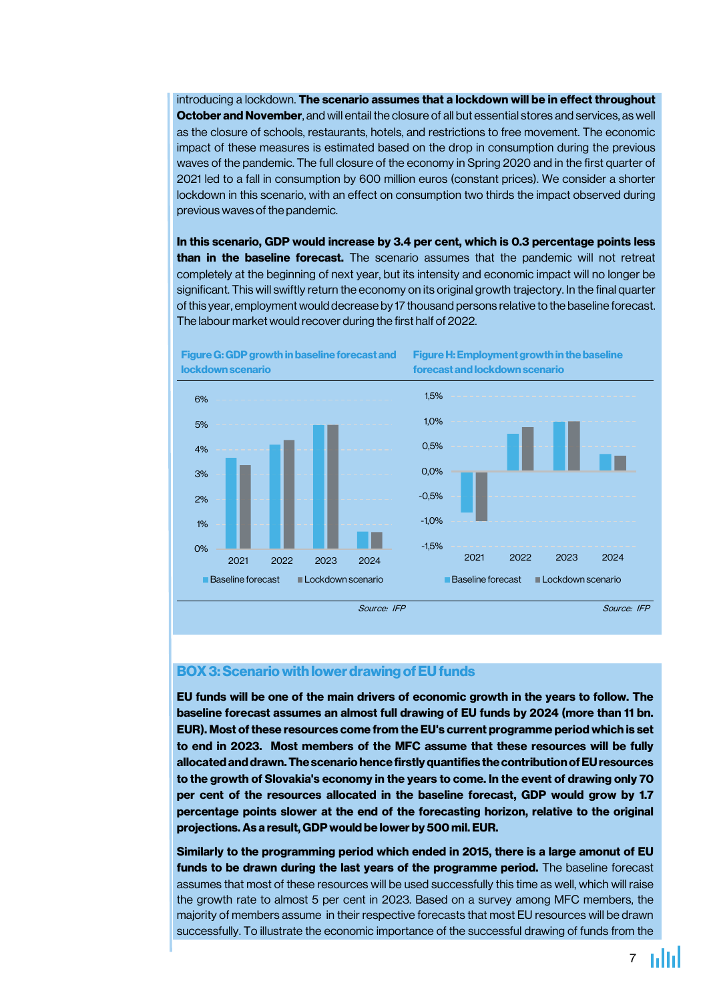introducing a lockdown. The scenario assumes that a lockdown will be in effect throughout October and November, and will entail the closure of all but essential stores and services, as well as the closure of schools, restaurants, hotels, and restrictions to free movement. The economic impact of these measures is estimated based on the drop in consumption during the previous waves of the pandemic. The full closure of the economy in Spring 2020 and in the first quarter of 2021 led to a fall in consumption by 600 million euros (constant prices). We consider a shorter lockdown in this scenario, with an effect on consumption two thirds the impact observed during previous waves of the pandemic.

In this scenario, GDP would increase by 3.4 per cent, which is 0.3 percentage points less than in the baseline forecast. The scenario assumes that the pandemic will not retreat completely at the beginning of next year, but its intensity and economic impact will no longer be significant. This will swiftly return the economy on its original growth trajectory. In the final quarter ofthis year, employment would decrease by 17 thousand persons relative to the baseline forecast. The labour market would recover during the first half of 2022.



FigureG: GDPgrowth in baseline forecastand lockdownscenario

Figure H: Employment growth in the baseline forecast and lockdown scenario

## **BOX 3: Scenario with lower drawing of EU funds**

EU funds will be one of the main drivers of economic growth in the years to follow. The baseline forecast assumes an almost full drawing of EU funds by 2024 (more than 11 bn. EUR). Most of these resources come from the EU's current programme period which is set to end in 2023. Most members of the MFC assume that these resources will be fully allocated and drawn. The scenario hence firstly quantifies the contribution of EU resources to the growth of Slovakia's economy in the years to come. In the event of drawing only 70 per cent of the resources allocated in the baseline forecast, GDP would grow by 1.7 percentage points slower at the end of the forecasting horizon, relative to the original projections.As a result, GDPwould be lower by 500 mil. EUR.

Similarly to the programming period which ended in 2015, there is a large amonut of EU funds to be drawn during the last years of the programme period. The baseline forecast assumes that most of these resources will be used successfully this time as well, which will raise the growth rate to almost 5 per cent in 2023. Based on a survey among MFC members, the majority of members assume in their respective forecasts that most EU resources will be drawn successfully. To illustrate the economic importance of the successful drawing of funds from the